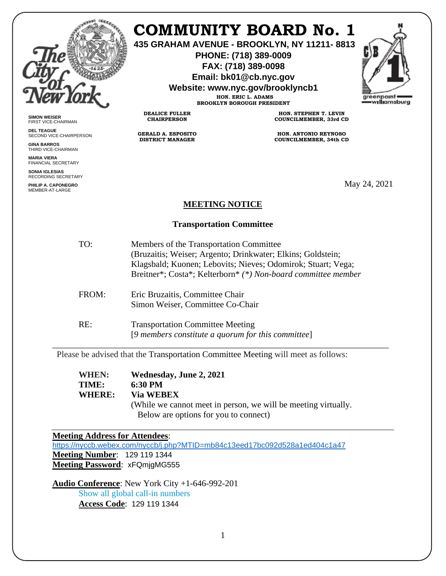

**SIMON WEISER** FIRST VICE-CHAIRMAN **DEL TEAGUE**

**GINA BARROS** THIRD VICE-CHAIRMAN **MARIA VIERA** FINANCIAL SECRETARY **SONIA IGLESIAS** RECORDING SECRETARY **PHILIP A. CAPONEGRO** MEMBER-AT-LARGE

SECOND VICE-CHAIRPERSON

# **COMMUNITY BOARD No. 1**

**435 GRAHAM AVENUE - BROOKLYN, NY 11211- 8813**

**PHONE: (718) 389-0009 FAX: (718) 389-0098**

**Email: bk01@cb.nyc.gov**

**Website: www.nyc.gov/brooklyncb1**

**HON. ERIC L. ADAMS BROOKLYN BOROUGH PRESIDENT**

**DEALICE FULLER CHAIRPERSON**

**GERALD A. ESPOSITO DISTRICT MANAGER**

**HON. STEPHEN T. LEVIN COUNCILMEMBER, 33rd CD**

**HON. ANTONIO REYNOSO COUNCILMEMBER, 34th CD**

May 24, 2021

# **MEETING NOTICE**

## **Transportation Committee**

| TO:   | Members of the Transportation Committee<br>(Bruzaitis; Weiser; Argento; Drinkwater; Elkins; Goldstein;<br>Klagsbald; Kuonen; Lebovits; Nieves; Odomirok; Stuart; Vega;<br>Breitner*; Costa*; Kelterborn* (*) Non-board committee member |
|-------|-----------------------------------------------------------------------------------------------------------------------------------------------------------------------------------------------------------------------------------------|
| FROM: | Eric Bruzaitis, Committee Chair<br>Simon Weiser, Committee Co-Chair                                                                                                                                                                     |
| RE:   | <b>Transportation Committee Meeting</b><br>[9 members constitute a quorum for this committee]                                                                                                                                           |

Please be advised that the Transportation Committee Meeting will meet as follows:

| WHEN:  | Wednesday, June 2, 2021                                        |
|--------|----------------------------------------------------------------|
| TIME:  | 6:30 PM                                                        |
| WHERE: | <b>Via WEBEX</b>                                               |
|        | (While we cannot meet in person, we will be meeting virtually. |
|        | Below are options for you to connect)                          |

#### **Meeting Address for Attendees**:

<https://nyccb.webex.com/nyccb/j.php?MTID=mb84c13eed17bc092d528a1ed404c1a47> **Meeting Number**: 129 119 1344 **Meeting Password**: xFQmjgMG555

**Audio Conference**: New York City +1-646-992-201 Show all global call-in numbers **Access Code**: 129 119 1344